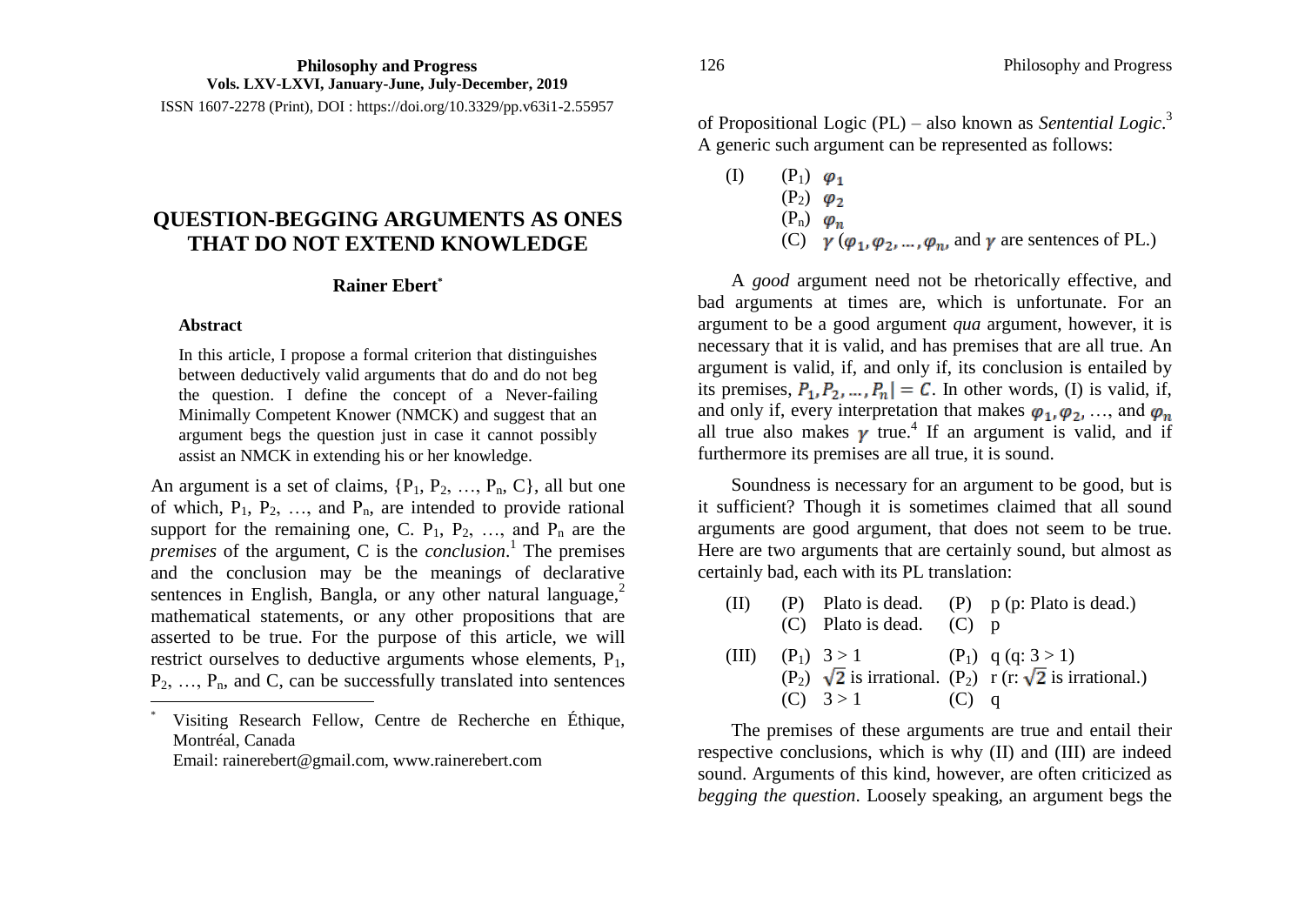ISSN 1607-2278 (Print), DOI : https://doi.org/10.3329/pp.v63i1-2.55957

# **QUESTION-BEGGING ARGUMENTS AS ONES THAT DO NOT EXTEND KNOWLEDGE**

# **Rainer Ebert\***

#### **Abstract**

 $\overline{a}$ 

In this article, I propose a formal criterion that distinguishes between deductively valid arguments that do and do not beg the question. I define the concept of a Never-failing Minimally Competent Knower (NMCK) and suggest that an argument begs the question just in case it cannot possibly assist an NMCK in extending his or her knowledge.

An argument is a set of claims,  $\{P_1, P_2, \ldots, P_n, C\}$ , all but one of which,  $P_1$ ,  $P_2$ , ..., and  $P_n$ , are intended to provide rational support for the remaining one, C.  $P_1$ ,  $P_2$ , ..., and  $P_n$  are the *premises* of the argument, C is the *conclusion*. 1 The premises and the conclusion may be the meanings of declarative sentences in English, Bangla, or any other natural language, $<sup>2</sup>$ </sup> mathematical statements, or any other propositions that are asserted to be true. For the purpose of this article, we will restrict ourselves to deductive arguments whose elements, P<sub>1</sub>,  $P_2, \ldots, P_n$ , and C, can be successfully translated into sentences

Visiting Research Fellow, Centre de Recherche en Éthique, Montréal, Canada

Email: rainerebert@gmail.com, www.rainerebert.com

of Propositional Logic (PL) – also known as *Sentential Logic*. 3 A generic such argument can be represented as follows:

- (I)  $(P_1)$   $\varphi_1$ 
	- $(P_2)$   $\varphi_2$
	- $(P_n)$   $\varphi_n$
	- (C)  $\gamma$  ( $\varphi_1, \varphi_2, ..., \varphi_n$ , and  $\gamma$  are sentences of PL.)

A *good* argument need not be rhetorically effective, and bad arguments at times are, which is unfortunate. For an argument to be a good argument *qua* argument, however, it is necessary that it is valid, and has premises that are all true. An argument is valid, if, and only if, its conclusion is entailed by its premises,  $P_1, P_2, ..., P_n$  = C. In other words, (I) is valid, if, and only if, every interpretation that makes  $\varphi_1, \varphi_2, \ldots$ , and  $\varphi_n$ all true also makes  $\gamma$  true.<sup>4</sup> If an argument is valid, and if furthermore its premises are all true, it is sound.

Soundness is necessary for an argument to be good, but is it sufficient? Though it is sometimes claimed that all sound arguments are good argument, that does not seem to be true. Here are two arguments that are certainly sound, but almost as certainly bad, each with its PL translation:

| $(\Pi)$ |                                          |         | (P) Plato is dead. (P) $p$ (p: Plato is dead.)                             |
|---------|------------------------------------------|---------|----------------------------------------------------------------------------|
|         | $(C)$ Plato is dead. $(C)$ p             |         |                                                                            |
|         | (III) $(P_1)$ 3 > 1 $(P_1)$ q (q: 3 > 1) |         |                                                                            |
|         |                                          |         | $(P_2)$ $\sqrt{2}$ is irrational. $(P_2)$ r (r: $\sqrt{2}$ is irrational.) |
|         | (C) $3 > 1$                              | $(C)$ q |                                                                            |

The premises of these arguments are true and entail their respective conclusions, which is why (II) and (III) are indeed sound. Arguments of this kind, however, are often criticized as *begging the question*. Loosely speaking, an argument begs the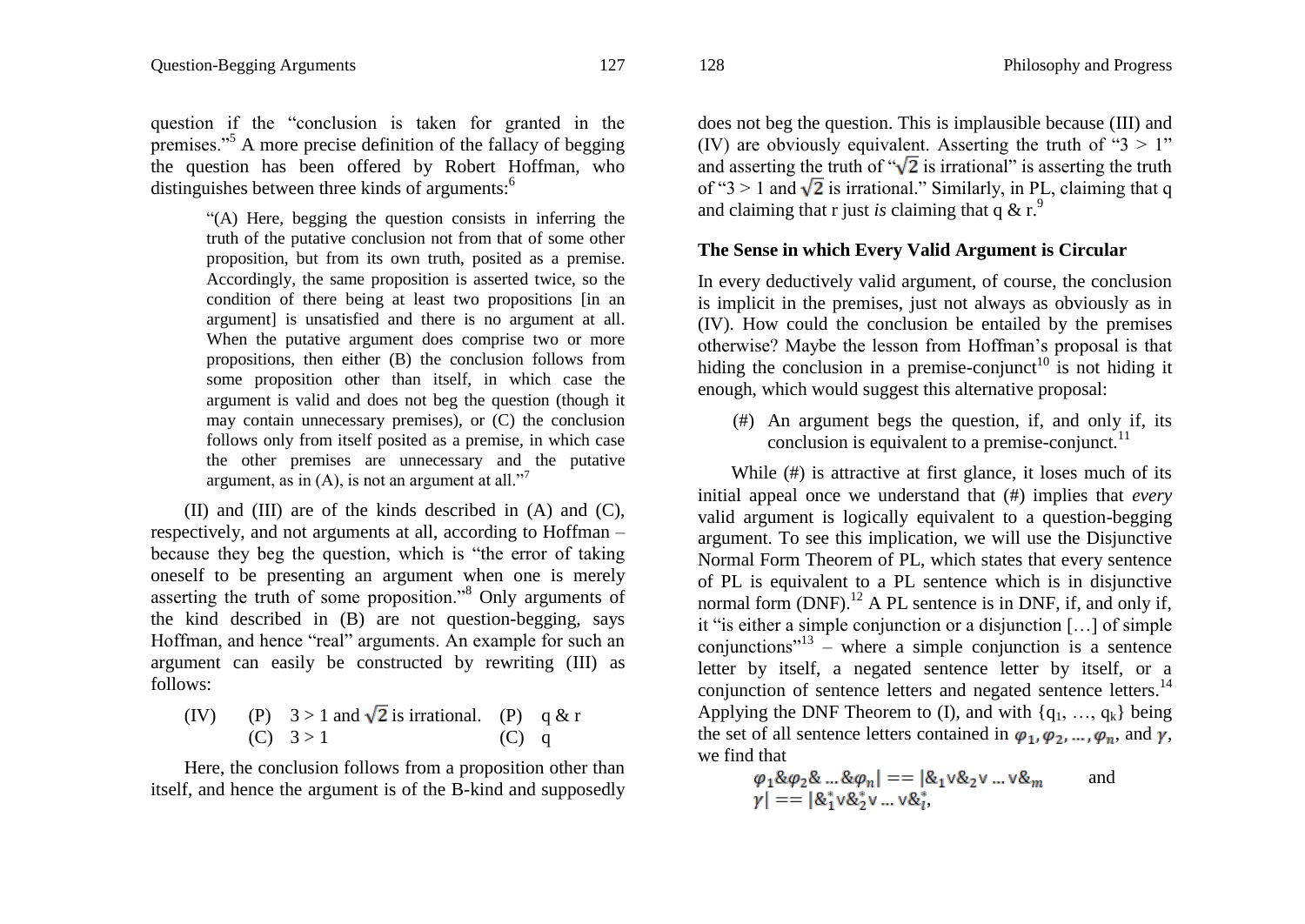question if the "conclusion is taken for granted in the premises."<sup>5</sup> A more precise definition of the fallacy of begging the question has been offered by Robert Hoffman, who distinguishes between three kinds of arguments:<sup>6</sup>

> "(A) Here, begging the question consists in inferring the truth of the putative conclusion not from that of some other proposition, but from its own truth, posited as a premise. Accordingly, the same proposition is asserted twice, so the condition of there being at least two propositions [in an argument] is unsatisfied and there is no argument at all. When the putative argument does comprise two or more propositions, then either (B) the conclusion follows from some proposition other than itself, in which case the argument is valid and does not beg the question (though it may contain unnecessary premises), or (C) the conclusion follows only from itself posited as a premise, in which case the other premises are unnecessary and the putative argument, as in  $(A)$ , is not an argument at all."<sup>7</sup>

(II) and (III) are of the kinds described in (A) and (C), respectively, and not arguments at all, according to Hoffman – because they beg the question, which is "the error of taking oneself to be presenting an argument when one is merely asserting the truth of some proposition."<sup>8</sup> Only arguments of the kind described in (B) are not question-begging, says Hoffman, and hence "real" arguments. An example for such an argument can easily be constructed by rewriting (III) as follows:

(IV) (P)  $3 > 1$  and  $\sqrt{2}$  is irrational. (P) q & r (C)  $3 > 1$  (C) q

Here, the conclusion follows from a proposition other than itself, and hence the argument is of the B-kind and supposedly does not beg the question. This is implausible because (III) and (IV) are obviously equivalent. Asserting the truth of " $3 > 1$ " and asserting the truth of " $\sqrt{2}$  is irrational" is asserting the truth of " $3 > 1$  and  $\sqrt{2}$  is irrational." Similarly, in PL, claiming that q and claiming that r just *is* claiming that q  $\&$  r.<sup>9</sup>

#### **The Sense in which Every Valid Argument is Circular**

In every deductively valid argument, of course, the conclusion is implicit in the premises, just not always as obviously as in (IV). How could the conclusion be entailed by the premises otherwise? Maybe the lesson from Hoffman"s proposal is that hiding the conclusion in a premise-conjunct<sup>10</sup> is not hiding it enough, which would suggest this alternative proposal:

(#) An argument begs the question, if, and only if, its conclusion is equivalent to a premise-conjunct. $^{11}$ 

While (#) is attractive at first glance, it loses much of its initial appeal once we understand that (#) implies that *every* valid argument is logically equivalent to a question-begging argument. To see this implication, we will use the Disjunctive Normal Form Theorem of PL, which states that every sentence of PL is equivalent to a PL sentence which is in disjunctive normal form  $(DNF)$ .<sup>12</sup> A PL sentence is in DNF, if, and only if, it "is either a simple conjunction or a disjunction […] of simple conjunctions"<sup>13</sup> – where a simple conjunction is a sentence letter by itself, a negated sentence letter by itself, or a conjunction of sentence letters and negated sentence letters.<sup>14</sup> Applying the DNF Theorem to (I), and with  $\{q_1, ..., q_k\}$  being the set of all sentence letters contained in  $\varphi_1, \varphi_2, ..., \varphi_n$ , and  $\gamma$ , we find that

$$
\varphi_1 \& \varphi_2 \& \dots \& \varphi_n| == |\&_1 \vee \&_2 \vee \dots \vee \&_m
$$
\nand\n
$$
\gamma| == |\&_1^* \vee \&_2^* \vee \dots \vee \&_i^*,
$$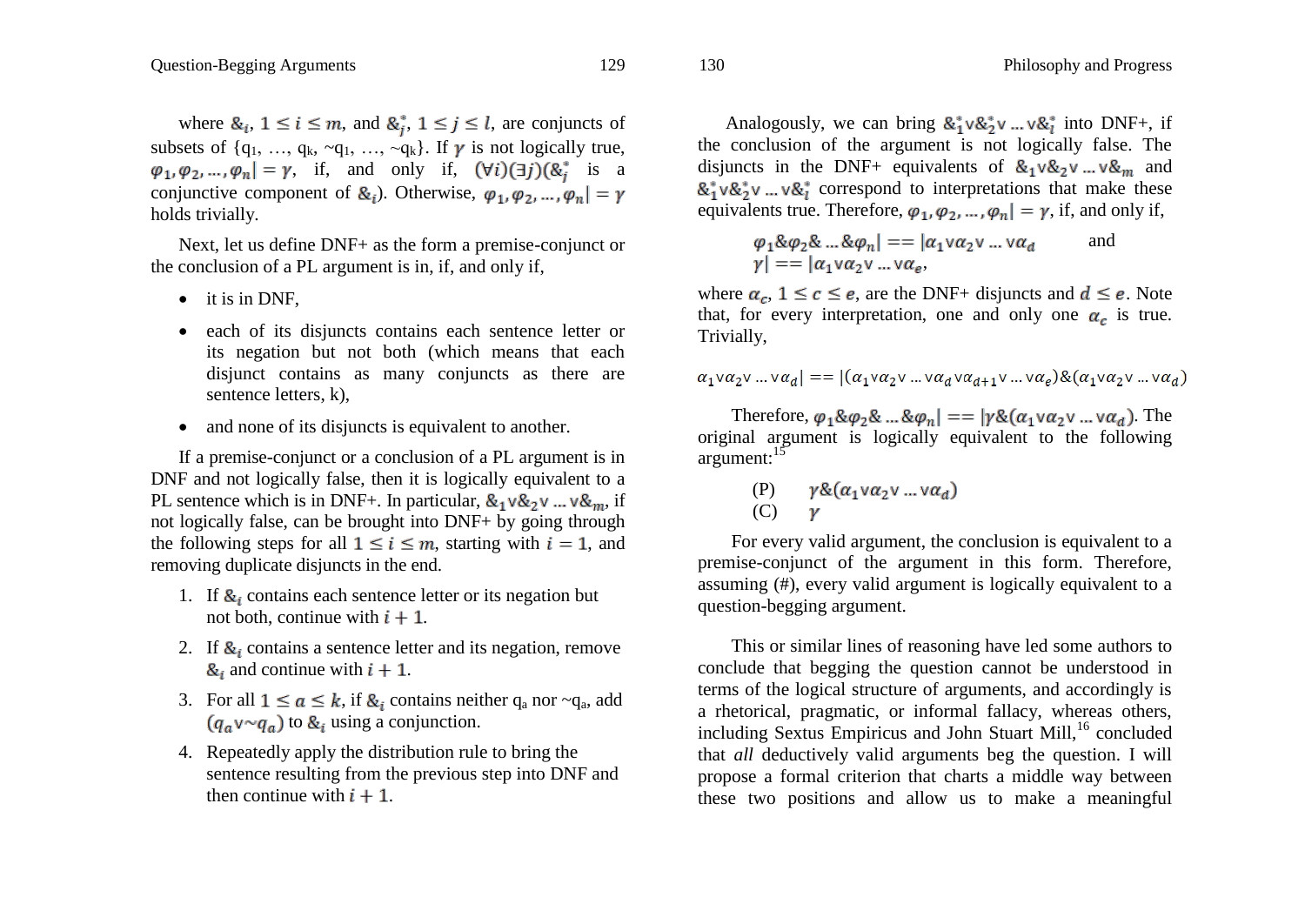where  $\&i, 1 \leq i \leq m$ , and  $\&i, 1 \leq j \leq l$ , are conjuncts of subsets of  $\{q_1, ..., q_k, \neg q_1, ..., \neg q_k\}$ . If  $\gamma$  is not logically true,  $\varphi_1, \varphi_2, ..., \varphi_n$  =  $\gamma$ , if, and only if,  $(\forall i)(\exists j)(\&_i^*$  is a conjunctive component of  $\&i$ . Otherwise,  $\varphi_1, \varphi_2, ..., \varphi_n = \gamma$ holds trivially.

Next, let us define DNF+ as the form a premise-conjunct or the conclusion of a PL argument is in, if, and only if,

- $\bullet$  it is in DNF,
- each of its disjuncts contains each sentence letter or its negation but not both (which means that each disjunct contains as many conjuncts as there are sentence letters, k),
- and none of its disjuncts is equivalent to another.

If a premise-conjunct or a conclusion of a PL argument is in DNF and not logically false, then it is logically equivalent to a PL sentence which is in DNF+. In particular,  $\&_1 \vee \&_2 \vee ... \vee \&_m$ , if not logically false, can be brought into DNF+ by going through the following steps for all  $1 \le i \le m$ , starting with  $i = 1$ , and removing duplicate disjuncts in the end.

- 1. If  $\mathcal{R}_i$  contains each sentence letter or its negation but not both, continue with  $i + 1$ .
- 2. If  $\mathcal{R}_i$  contains a sentence letter and its negation, remove  $\&$ <sub>i</sub> and continue with  $i + 1$ .
- 3. For all  $1 \le a \le k$ , if  $\ι$  contains neither  $q_a$  nor  $\sim q_a$ , add  $(q_a v \sim q_a)$  to  $\&$ <sub>i</sub> using a conjunction.
- 4. Repeatedly apply the distribution rule to bring the sentence resulting from the previous step into DNF and then continue with  $i + 1$ .

Analogously, we can bring  $\&_1^* \vee \&_2^* \vee ... \vee \&_l^*$  into DNF+, if the conclusion of the argument is not logically false. The disjuncts in the DNF+ equivalents of  $\&_1 \vee \&_2 \vee ... \vee \&_2$  and  $\&_1^* \vee \&_2^* \vee ... \vee \&_1^*$  correspond to interpretations that make these equivalents true. Therefore,  $\varphi_1, \varphi_2, ..., \varphi_n$  =  $\gamma$ , if, and only if,

$$
\varphi_1 \& \varphi_2 \& \dots \& \varphi_n \vert = = \vert \alpha_1 \vee \alpha_2 \vee \dots \vee \alpha_d \qquad \text{and}
$$
  

$$
\varphi \vert = = \vert \alpha_1 \vee \alpha_2 \vee \dots \vee \alpha_e,
$$

where  $\alpha_c$ ,  $1 \leq c \leq e$ , are the DNF+ disjuncts and  $d \leq e$ . Note that, for every interpretation, one and only one  $\alpha_c$  is true. Trivially,

$$
\alpha_1 \vee \alpha_2 \vee \dots \vee \alpha_d \vert = \vert (\alpha_1 \vee \alpha_2 \vee \dots \vee \alpha_d \vee \alpha_{d+1} \vee \dots \vee \alpha_e) \& (\alpha_1 \vee \alpha_2 \vee \dots \vee \alpha_d)
$$

Therefore,  $\varphi_1 \& \varphi_2 \& \dots \& \varphi_n$  =  $|\gamma \& (\alpha_1 \vee \alpha_2 \vee \dots \vee \alpha_n)$ . The original argument is logically equivalent to the following argument: $15$ 

$$
\begin{array}{ll}\n\text{(P)} & \gamma \& (\alpha_1 \lor \alpha_2 \lor \dots \lor \alpha_d) \\
\text{(C)} & \gamma\n\end{array}
$$

For every valid argument, the conclusion is equivalent to a premise-conjunct of the argument in this form. Therefore, assuming (#), every valid argument is logically equivalent to a question-begging argument.

This or similar lines of reasoning have led some authors to conclude that begging the question cannot be understood in terms of the logical structure of arguments, and accordingly is a rhetorical, pragmatic, or informal fallacy, whereas others, including Sextus Empiricus and John Stuart Mill, $^{16}$  concluded that *all* deductively valid arguments beg the question. I will propose a formal criterion that charts a middle way between these two positions and allow us to make a meaningful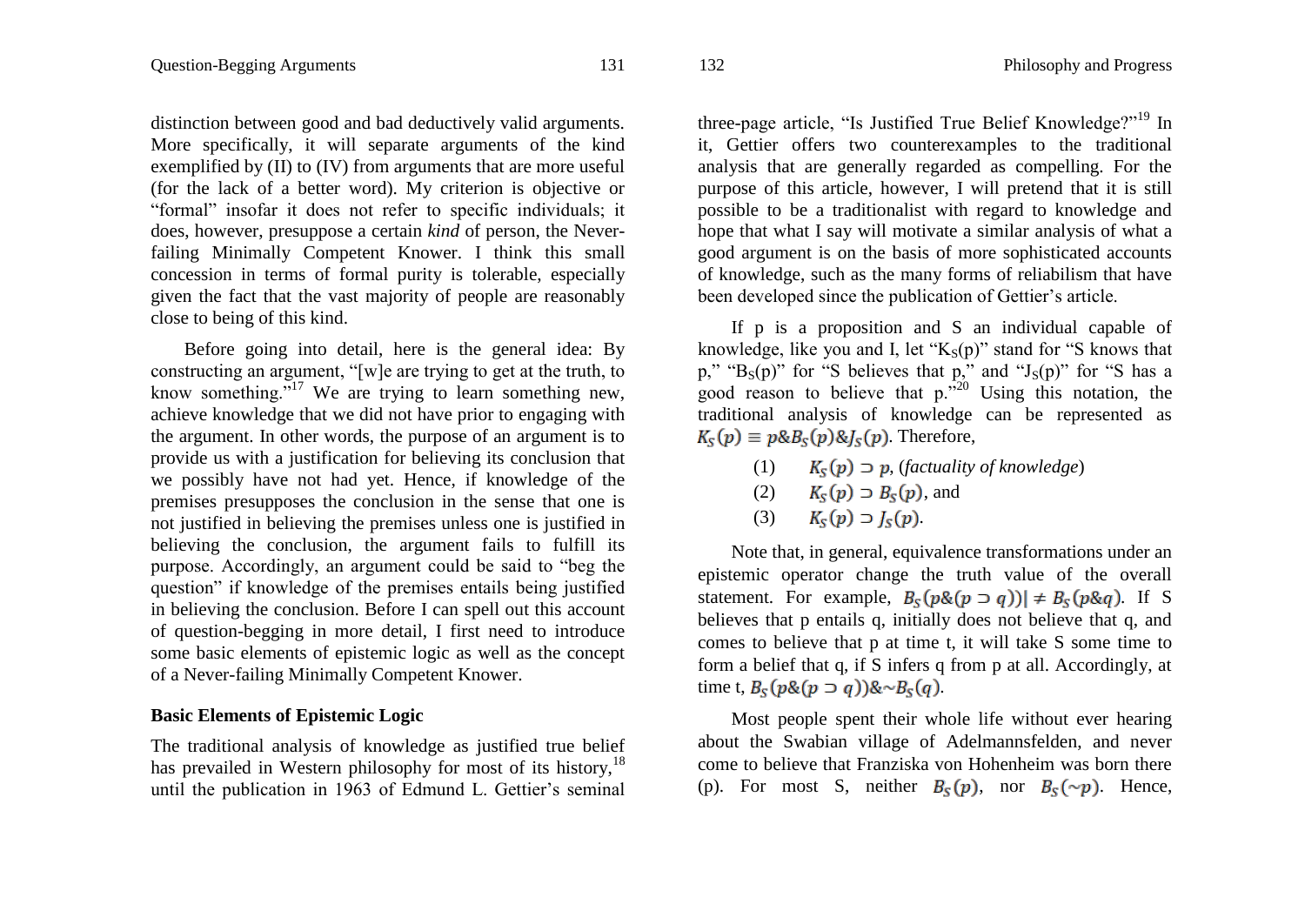distinction between good and bad deductively valid arguments. More specifically, it will separate arguments of the kind exemplified by (II) to (IV) from arguments that are more useful (for the lack of a better word). My criterion is objective or "formal" insofar it does not refer to specific individuals; it does, however, presuppose a certain *kind* of person, the Neverfailing Minimally Competent Knower. I think this small concession in terms of formal purity is tolerable, especially given the fact that the vast majority of people are reasonably close to being of this kind.

Before going into detail, here is the general idea: By constructing an argument, "[w]e are trying to get at the truth, to know something."<sup>17</sup> We are trying to learn something new, achieve knowledge that we did not have prior to engaging with the argument. In other words, the purpose of an argument is to provide us with a justification for believing its conclusion that we possibly have not had yet. Hence, if knowledge of the premises presupposes the conclusion in the sense that one is not justified in believing the premises unless one is justified in believing the conclusion, the argument fails to fulfill its purpose. Accordingly, an argument could be said to "beg the question" if knowledge of the premises entails being justified in believing the conclusion. Before I can spell out this account of question-begging in more detail, I first need to introduce some basic elements of epistemic logic as well as the concept of a Never-failing Minimally Competent Knower.

#### **Basic Elements of Epistemic Logic**

The traditional analysis of knowledge as justified true belief has prevailed in Western philosophy for most of its history,  $18$ until the publication in 1963 of Edmund L. Gettier's seminal three-page article, "Is Justified True Belief Knowledge?"<sup>19</sup> In it, Gettier offers two counterexamples to the traditional analysis that are generally regarded as compelling. For the purpose of this article, however, I will pretend that it is still possible to be a traditionalist with regard to knowledge and hope that what I say will motivate a similar analysis of what a good argument is on the basis of more sophisticated accounts of knowledge, such as the many forms of reliabilism that have been developed since the publication of Gettier's article.

If p is a proposition and S an individual capable of knowledge, like you and I, let " $K_S(p)$ " stand for "S knows that p," " $B_S(p)$ " for "S believes that p," and " $J_S(p)$ " for "S has a good reason to believe that  $p^{320}$ . Using this notation, the traditional analysis of knowledge can be represented as  $K_{S}(p) \equiv p \&B_{S}(p) \&I_{S}(p)$ . Therefore,

- (1)  $K_s(p) \supset p$ , (*factuality of knowledge*)
- (2)  $K_s(p) \supset B_s(p)$ , and
- (3)  $K_{S}(p) \supset I_{S}(p)$ .

Note that, in general, equivalence transformations under an epistemic operator change the truth value of the overall statement. For example,  $B_S(p\&(p \supset q))$   $\neq B_S(p\&q)$ . If S believes that p entails q, initially does not believe that q, and comes to believe that p at time t, it will take S some time to form a belief that q, if S infers q from p at all. Accordingly, at time t,  $B_S(p\&p\neg q)\&\sim B_S(q)$ .

Most people spent their whole life without ever hearing about the Swabian village of Adelmannsfelden, and never come to believe that Franziska von Hohenheim was born there (p). For most S, neither  $B_{\mathcal{S}}(p)$ , nor  $B_{\mathcal{S}}(\sim p)$ . Hence,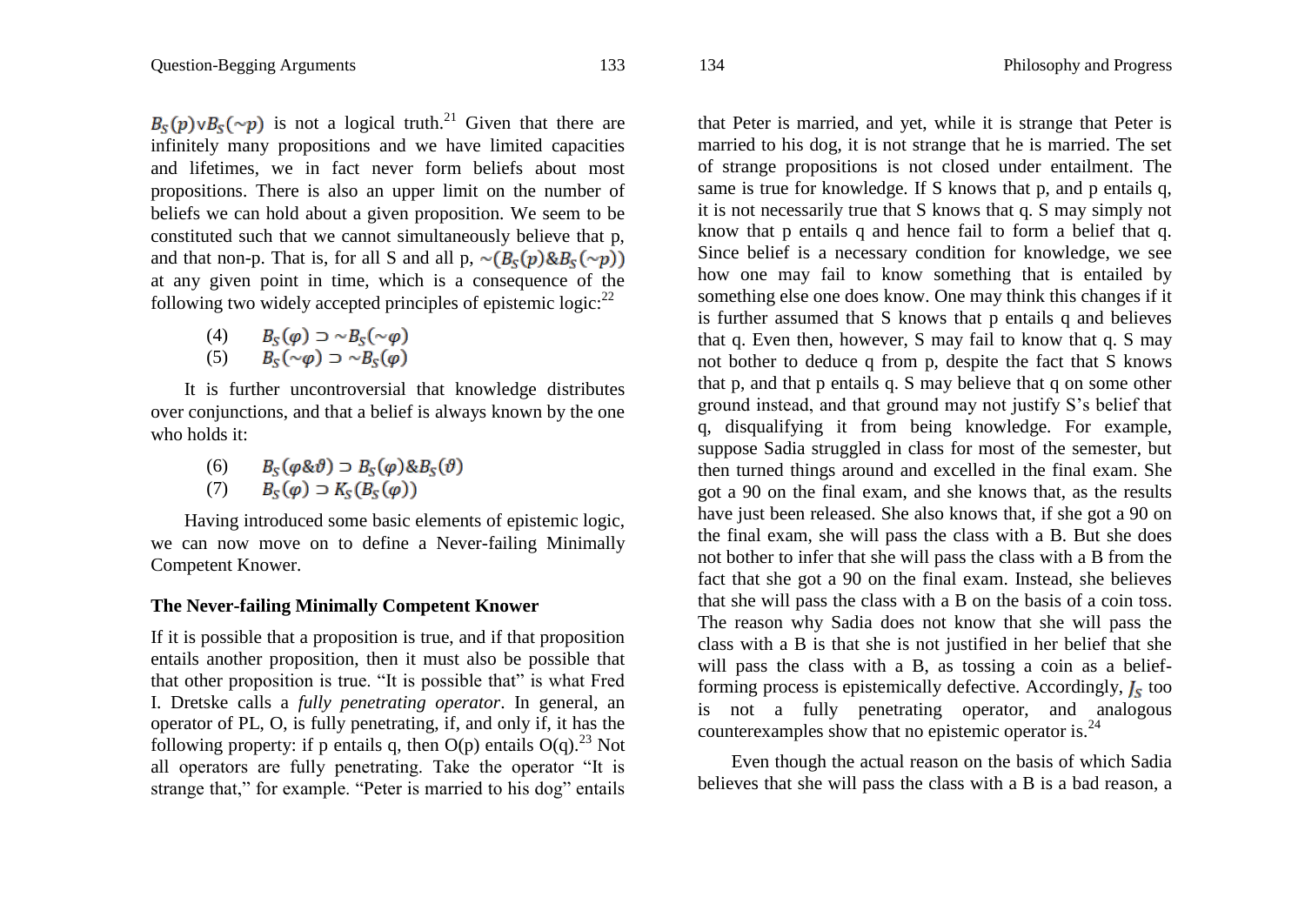$B_S(p) \vee B_S(\sim p)$  is not a logical truth.<sup>21</sup> Given that there are infinitely many propositions and we have limited capacities and lifetimes, we in fact never form beliefs about most propositions. There is also an upper limit on the number of beliefs we can hold about a given proposition. We seem to be constituted such that we cannot simultaneously believe that p, and that non-p. That is, for all S and all p,  $\sim (B_{\rm s}(p) \& B_{\rm s}(\sim p))$ at any given point in time, which is a consequence of the following two widely accepted principles of epistemic logic: $^{22}$ 

> (4)  $B_S(\varphi) \supset \sim B_S(\sim \varphi)$ (5)  $B_{\rm s}(\sim\varphi) \supset \sim B_{\rm s}(\varphi)$

It is further uncontroversial that knowledge distributes over conjunctions, and that a belief is always known by the one who holds it:

> $B_{\rm s}(\varphi \& \vartheta) \supset B_{\rm s}(\varphi) \& B_{\rm s}(\vartheta)$  $(6)$

$$
(7) \qquad B_S(\varphi) \supset K_S(B_S(\varphi))
$$

Having introduced some basic elements of epistemic logic, we can now move on to define a Never-failing Minimally Competent Knower.

### **The Never-failing Minimally Competent Knower**

If it is possible that a proposition is true, and if that proposition entails another proposition, then it must also be possible that that other proposition is true. "It is possible that" is what Fred I. Dretske calls a *fully penetrating operator*. In general, an operator of PL, O, is fully penetrating, if, and only if, it has the following property: if p entails q, then  $O(p)$  entails  $O(q)$ .<sup>23</sup> Not all operators are fully penetrating. Take the operator "It is strange that," for example. "Peter is married to his dog" entails that Peter is married, and yet, while it is strange that Peter is married to his dog, it is not strange that he is married. The set of strange propositions is not closed under entailment. The same is true for knowledge. If S knows that p, and p entails q, it is not necessarily true that S knows that q. S may simply not know that p entails q and hence fail to form a belief that q. Since belief is a necessary condition for knowledge, we see how one may fail to know something that is entailed by something else one does know. One may think this changes if it is further assumed that S knows that p entails q and believes that q. Even then, however, S may fail to know that q. S may not bother to deduce q from p, despite the fact that S knows that p, and that p entails q. S may believe that q on some other ground instead, and that ground may not justify S"s belief that q, disqualifying it from being knowledge. For example, suppose Sadia struggled in class for most of the semester, but then turned things around and excelled in the final exam. She got a 90 on the final exam, and she knows that, as the results have just been released. She also knows that, if she got a 90 on the final exam, she will pass the class with a B. But she does not bother to infer that she will pass the class with a B from the fact that she got a 90 on the final exam. Instead, she believes that she will pass the class with a B on the basis of a coin toss. The reason why Sadia does not know that she will pass the class with a B is that she is not justified in her belief that she will pass the class with a B, as tossing a coin as a beliefforming process is epistemically defective. Accordingly,  $J<sub>s</sub>$  too is not a fully penetrating operator, and analogous counterexamples show that no epistemic operator is.<sup>24</sup>

Even though the actual reason on the basis of which Sadia believes that she will pass the class with a B is a bad reason, a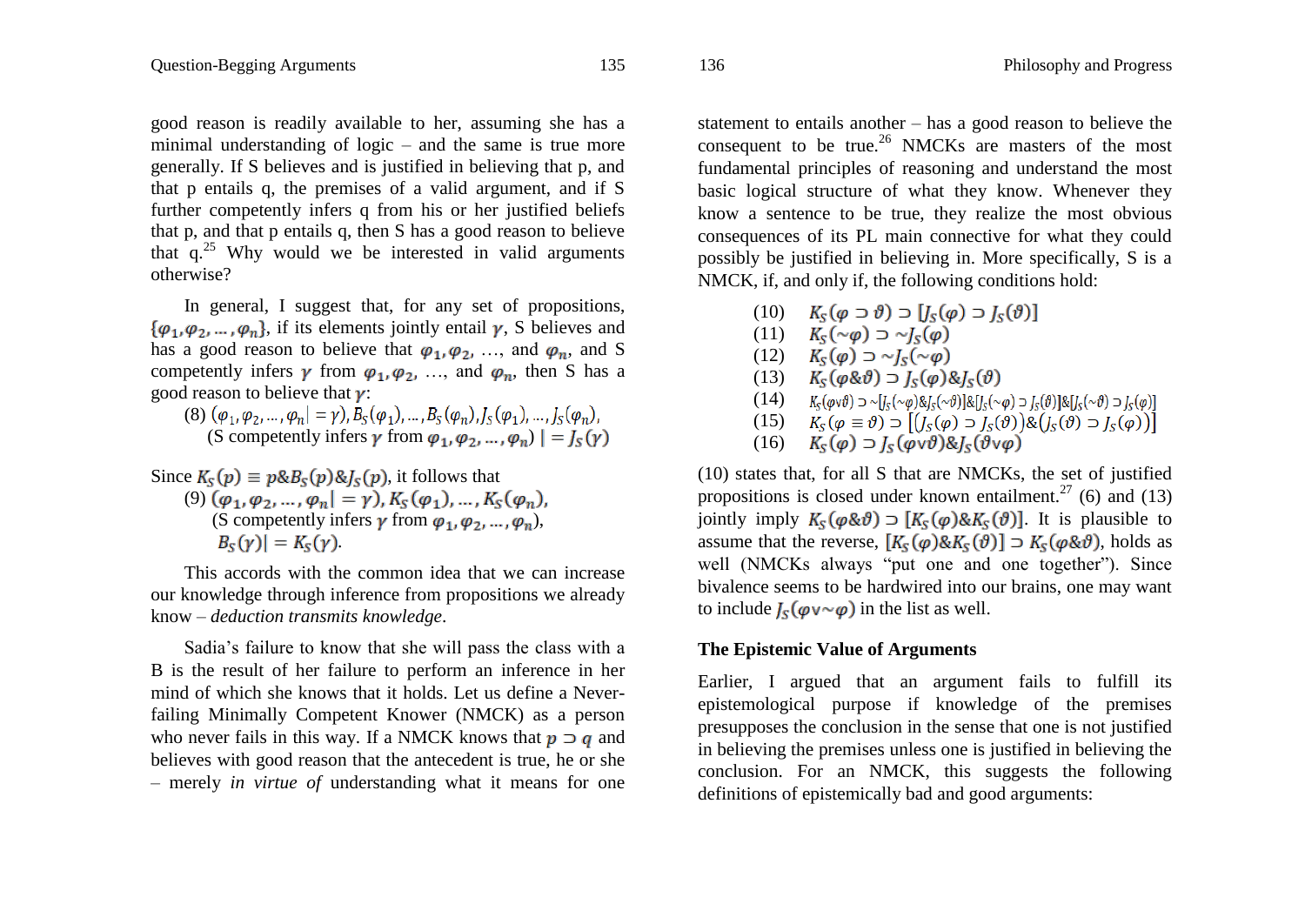good reason is readily available to her, assuming she has a minimal understanding of logic – and the same is true more generally. If S believes and is justified in believing that p, and that p entails q, the premises of a valid argument, and if S further competently infers q from his or her justified beliefs that p, and that p entails q, then S has a good reason to believe that  $q^{25}$  Why would we be interested in valid arguments otherwise?

In general, I suggest that, for any set of propositions,  $\{\varphi_1,\varphi_2,\ldots,\varphi_n\}$ , if its elements jointly entail  $\gamma$ , S believes and has a good reason to believe that  $\varphi_1, \varphi_2, \ldots$ , and  $\varphi_n$ , and S competently infers  $\gamma$  from  $\varphi_1, \varphi_2, \ldots$ , and  $\varphi_n$ , then S has a good reason to believe that  $\gamma$ :

- (8)  $(\varphi_1, \varphi_2, ..., \varphi_n | = \gamma)$ ,  $B_S(\varphi_1), ..., B_S(\varphi_n)$ ,  $J_S(\varphi_1), ..., J_S(\varphi_n)$ , (S competently infers  $\gamma$  from  $\varphi_1, \varphi_2, ..., \varphi_n$ )  $| = I_s(\gamma)$
- Since  $K_s(p) \equiv p \& B_s(p) \& I_s(p)$ , it follows that (9)  $(\varphi_1, \varphi_2, ..., \varphi_n) = \gamma$ ),  $K_S(\varphi_1), ..., K_S(\varphi_n)$ (S competently infers  $\gamma$  from  $\varphi_1, \varphi_2, ..., \varphi_n$ ),  $|B_{\rm s}(\gamma)|=K_{\rm s}(\gamma).$

This accords with the common idea that we can increase our knowledge through inference from propositions we already know – *deduction transmits knowledge*.

Sadia"s failure to know that she will pass the class with a B is the result of her failure to perform an inference in her mind of which she knows that it holds. Let us define a Neverfailing Minimally Competent Knower (NMCK) as a person who never fails in this way. If a NMCK knows that  $p \supset q$  and believes with good reason that the antecedent is true, he or she – merely *in virtue of* understanding what it means for one statement to entails another – has a good reason to believe the consequent to be true.<sup>26</sup> NMCKs are masters of the most fundamental principles of reasoning and understand the most basic logical structure of what they know. Whenever they know a sentence to be true, they realize the most obvious consequences of its PL main connective for what they could possibly be justified in believing in. More specifically, S is a NMCK, if, and only if, the following conditions hold:

- $(I0)$   $K_{s}(\varphi \supset \vartheta) \supset [I_{s}(\varphi) \supset I_{s}(\vartheta)]$
- (11)  $K_{\rm s}(\sim\varphi) \supset \sim I_{\rm s}(\varphi)$
- (12)  $K_{\rm s}(\varphi) \supset \sim I_{\rm s}(\sim \varphi)$
- (13)  $K_S(\varphi \& \vartheta) \supset I_S(\varphi) \& I_S(\vartheta)$
- $K_s(\omega \vee \vartheta) \supset \sim [I_s(\sim \vartheta) \& I_s(\sim \vartheta)] \& [I_s(\sim \vartheta) \supset I_s(\vartheta)] \& [I_s(\sim \vartheta) \supset I_s(\omega)]$
- (15)  $K_S(\varphi \equiv \vartheta) \supset [(I_S(\varphi) \supset I_S(\vartheta)) \& (I_S(\vartheta) \supset I_S(\varphi))]$
- (16)  $K_s(\varphi) \supset I_s(\varphi \vee \vartheta) \& I_s(\vartheta \vee \varphi)$

(10) states that, for all S that are NMCKs, the set of justified propositions is closed under known entailment.<sup>27</sup> (6) and (13) jointly imply  $K_S(\varphi \& \vartheta) \supset [K_S(\varphi) \& K_S(\vartheta)]$ . It is plausible to assume that the reverse,  $[K_S(\varphi) \& K_S(\vartheta)] \supset K_S(\varphi \& \vartheta)$ , holds as well (NMCKs always "put one and one together"). Since bivalence seems to be hardwired into our brains, one may want to include  $I_s(\varphi \vee \sim \varphi)$  in the list as well.

# **The Epistemic Value of Arguments**

Earlier, I argued that an argument fails to fulfill its epistemological purpose if knowledge of the premises presupposes the conclusion in the sense that one is not justified in believing the premises unless one is justified in believing the conclusion. For an NMCK, this suggests the following definitions of epistemically bad and good arguments: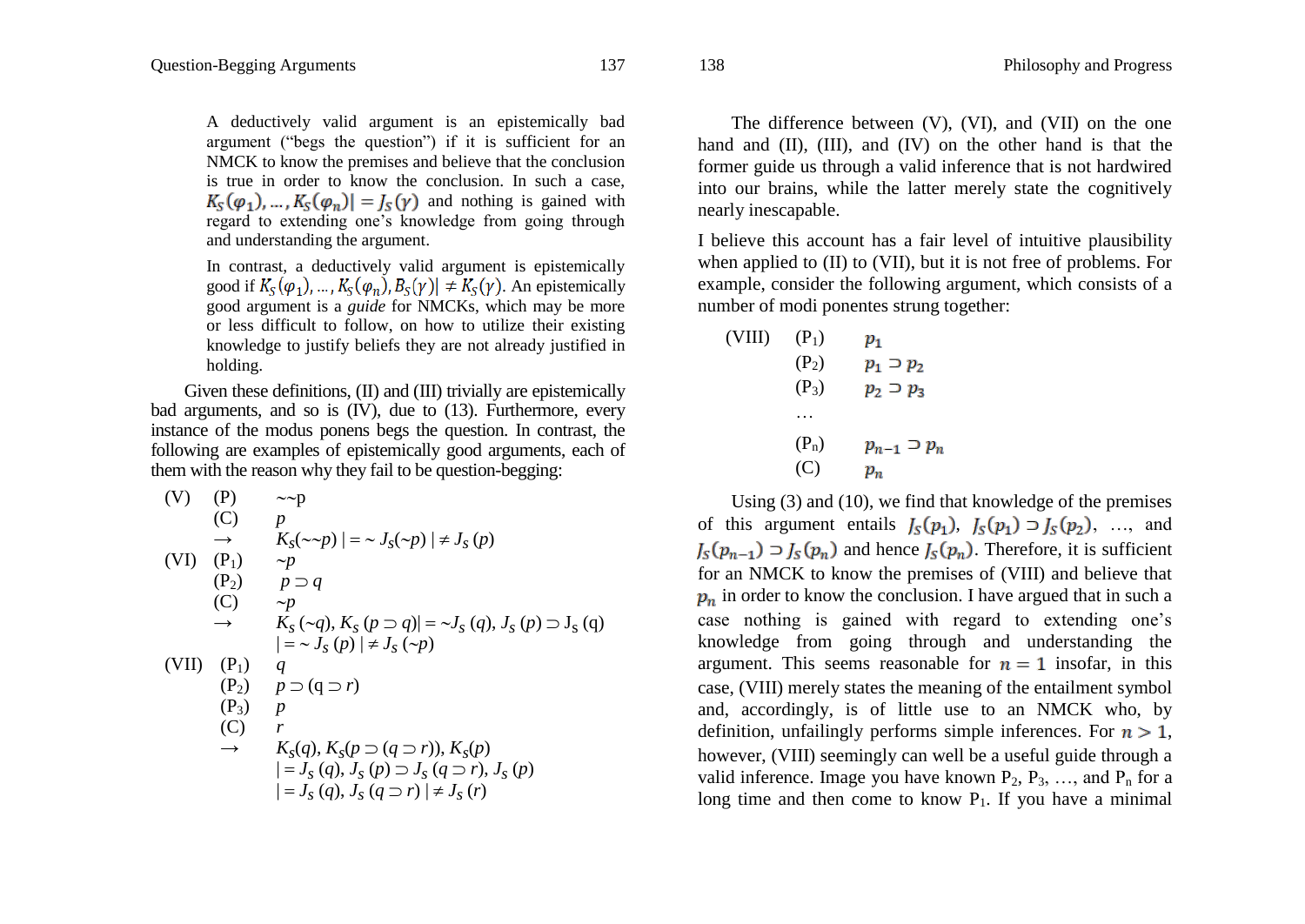A deductively valid argument is an epistemically bad argument ("begs the question") if it is sufficient for an NMCK to know the premises and believe that the conclusion is true in order to know the conclusion. In such a case,  $K_S(\varphi_1), \ldots, K_S(\varphi_n) = I_S(\gamma)$  and nothing is gained with regard to extending one"s knowledge from going through and understanding the argument.

In contrast, a deductively valid argument is epistemically good if  $K_S(\varphi_1), \ldots, K_S(\varphi_n), B_S(\gamma) \neq K_S(\gamma)$ . An epistemically good argument is a *guide* for NMCKs, which may be more or less difficult to follow, on how to utilize their existing knowledge to justify beliefs they are not already justified in holding.

Given these definitions, (II) and (III) trivially are epistemically bad arguments, and so is (IV), due to (13). Furthermore, every instance of the modus ponens begs the question. In contrast, the following are examples of epistemically good arguments, each of them with the reason why they fail to be question-begging:

(V) (P) 
$$
\sim p
$$
  
\n(C)  $p$   
\n $\rightarrow K_s(\sim p) | = \sim J_s(\sim p) | \neq J_s(p)$   
\n(VI) (P<sub>1</sub>)  $\sim p$   
\n(P<sub>2</sub>)  $p \supseteq q$   
\n(C)  $\sim p$   
\n $\rightarrow K_s(\sim q), K_s(p \supseteq q) | = \sim J_s(q), J_s(p) \supseteq J_s(q)$   
\n(VII) (P<sub>1</sub>)  $q$   
\n(P<sub>2</sub>)  $p \supseteq (q \supseteq r)$   
\n(P<sub>3</sub>)  $p$   
\n(C)  $r$   
\n $\rightarrow K_s(q), K_s(p \supseteq (q \supseteq r)), K_s(p)$   
\n $| = J_s(q), J_s(p) \supseteq J_s(q \supseteq r), J_s(p)$   
\n $| = J_s(q), J_s(p \supseteq r) | \neq J_s(r)$ 

The difference between (V), (VI), and (VII) on the one hand and (II), (III), and (IV) on the other hand is that the former guide us through a valid inference that is not hardwired into our brains, while the latter merely state the cognitively nearly inescapable.

I believe this account has a fair level of intuitive plausibility when applied to (II) to (VII), but it is not free of problems. For example, consider the following argument, which consists of a number of modi ponentes strung together:

| (VIII) | $(P_1)$<br>$(P_2)$<br>$(P_3)$ | $p_{1}$<br>$p_1 \supset p_2$<br>$p_2 \supset p_3$ |
|--------|-------------------------------|---------------------------------------------------|
|        | .                             |                                                   |
|        | $(P_n)$                       | $p_{n-1} \supset p_n$                             |
|        | (C)                           | $p_n$                                             |

Using (3) and (10), we find that knowledge of the premises of this argument entails  $J_S(p_1)$ ,  $J_S(p_1) \supset J_S(p_2)$ , ..., and  $I_{S}(p_{n-1}) \supset I_{S}(p_{n})$  and hence  $I_{S}(p_{n})$ . Therefore, it is sufficient for an NMCK to know the premises of (VIII) and believe that  $p_n$  in order to know the conclusion. I have argued that in such a case nothing is gained with regard to extending one"s knowledge from going through and understanding the argument. This seems reasonable for  $n = 1$  insofar, in this case, (VIII) merely states the meaning of the entailment symbol and, accordingly, is of little use to an NMCK who, by definition, unfailingly performs simple inferences. For  $n > 1$ , however, (VIII) seemingly can well be a useful guide through a valid inference. Image you have known  $P_2$ ,  $P_3$ , ..., and  $P_n$  for a long time and then come to know  $P_1$ . If you have a minimal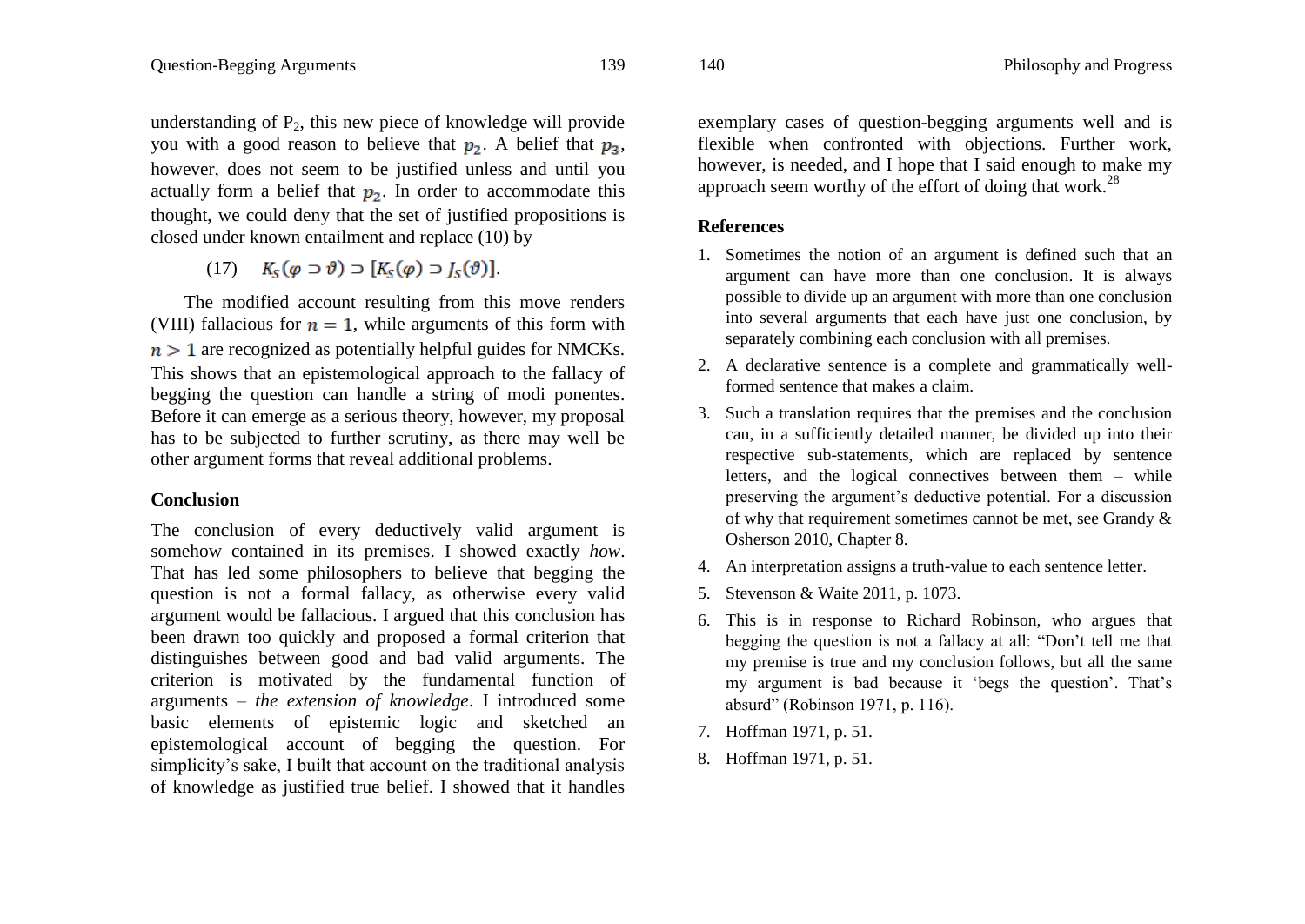understanding of  $P_2$ , this new piece of knowledge will provide you with a good reason to believe that  $p_2$ . A belief that  $p_3$ , however, does not seem to be justified unless and until you actually form a belief that  $p_2$ . In order to accommodate this thought, we could deny that the set of justified propositions is closed under known entailment and replace (10) by

 $(K_c(\varphi \supset \vartheta) \supset [K_c(\varphi) \supset I_c(\vartheta)].$ 

The modified account resulting from this move renders (VIII) fallacious for  $n = 1$ , while arguments of this form with  $n > 1$  are recognized as potentially helpful guides for NMCKs. This shows that an epistemological approach to the fallacy of begging the question can handle a string of modi ponentes. Before it can emerge as a serious theory, however, my proposal has to be subjected to further scrutiny, as there may well be other argument forms that reveal additional problems.

# **Conclusion**

The conclusion of every deductively valid argument is somehow contained in its premises. I showed exactly *how*. That has led some philosophers to believe that begging the question is not a formal fallacy, as otherwise every valid argument would be fallacious. I argued that this conclusion has been drawn too quickly and proposed a formal criterion that distinguishes between good and bad valid arguments. The criterion is motivated by the fundamental function of arguments – *the extension of knowledge*. I introduced some basic elements of epistemic logic and sketched an epistemological account of begging the question. For simplicity's sake. I built that account on the traditional analysis of knowledge as justified true belief. I showed that it handles exemplary cases of question-begging arguments well and is flexible when confronted with objections. Further work, however, is needed, and I hope that I said enough to make my approach seem worthy of the effort of doing that work.<sup>28</sup>

# **References**

- 1. Sometimes the notion of an argument is defined such that an argument can have more than one conclusion. It is always possible to divide up an argument with more than one conclusion into several arguments that each have just one conclusion, by separately combining each conclusion with all premises.
- 2. A declarative sentence is a complete and grammatically wellformed sentence that makes a claim.
- 3. Such a translation requires that the premises and the conclusion can, in a sufficiently detailed manner, be divided up into their respective sub-statements, which are replaced by sentence letters, and the logical connectives between them – while preserving the argument"s deductive potential. For a discussion of why that requirement sometimes cannot be met, see Grandy & Osherson 2010, Chapter 8.
- 4. An interpretation assigns a truth-value to each sentence letter.
- 5. Stevenson & Waite 2011, p. 1073.
- 6. This is in response to Richard Robinson, who argues that begging the question is not a fallacy at all: "Don"t tell me that my premise is true and my conclusion follows, but all the same my argument is bad because it "begs the question". That"s absurd" (Robinson 1971, p. 116).
- 7. Hoffman 1971, p. 51.
- 8. Hoffman 1971, p. 51.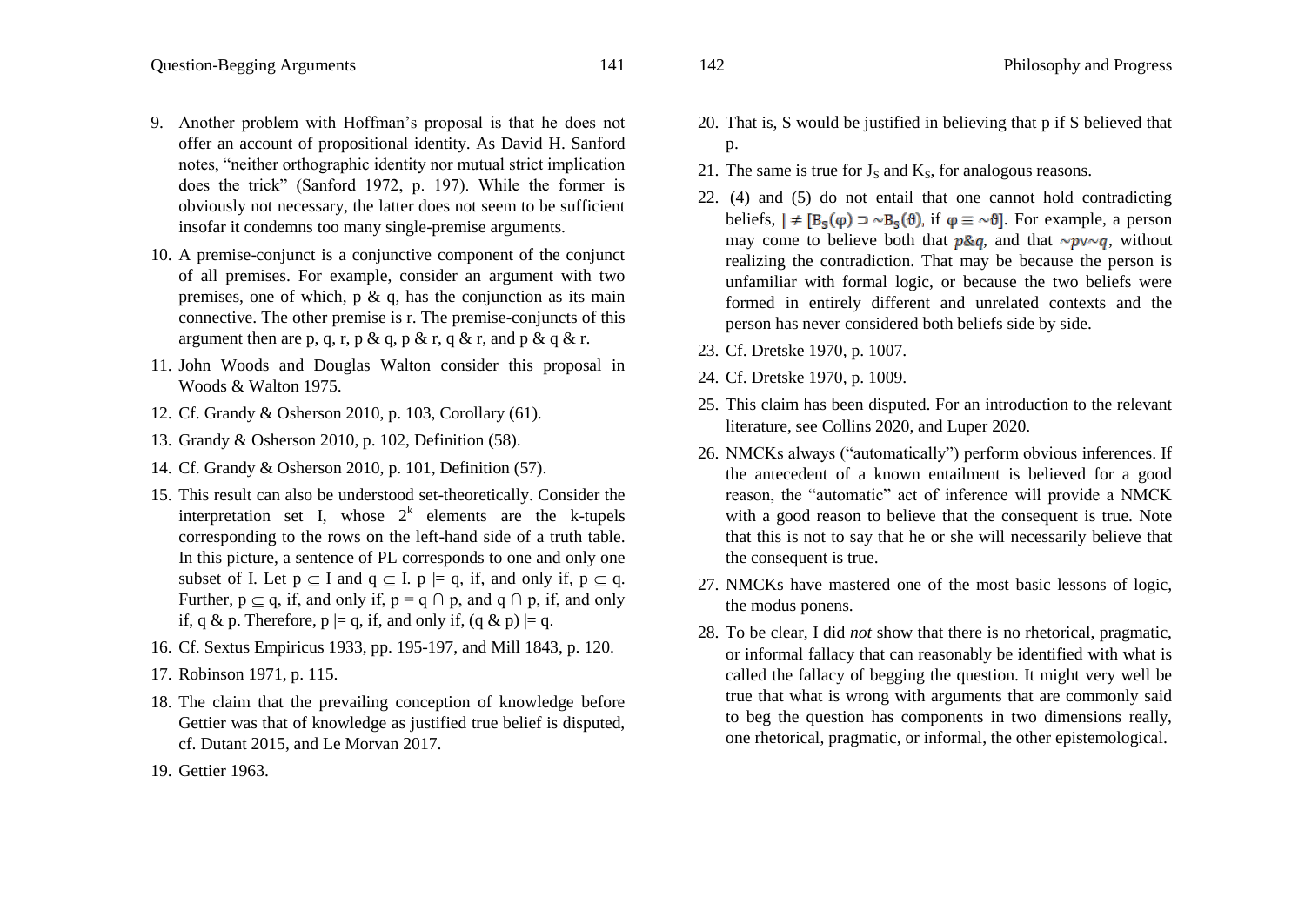- 9. Another problem with Hoffman"s proposal is that he does not offer an account of propositional identity. As David H. Sanford notes, "neither orthographic identity nor mutual strict implication does the trick" (Sanford 1972, p. 197). While the former is obviously not necessary, the latter does not seem to be sufficient insofar it condemns too many single-premise arguments.
- 10. A premise-conjunct is a conjunctive component of the conjunct of all premises. For example, consider an argument with two premises, one of which,  $p \& q$ , has the conjunction as its main connective. The other premise is r. The premise-conjuncts of this argument then are p, q, r, p & q, p & r, q & r, and p & q & r.
- 11. John Woods and Douglas Walton consider this proposal in Woods & Walton 1975.
- 12. Cf. Grandy & Osherson 2010, p. 103, Corollary (61).
- 13. Grandy & Osherson 2010, p. 102, Definition (58).
- 14. Cf. Grandy & Osherson 2010, p. 101, Definition (57).
- 15. This result can also be understood set-theoretically. Consider the interpretation set I, whose  $2^k$  elements are the k-tupels corresponding to the rows on the left-hand side of a truth table. In this picture, a sentence of PL corresponds to one and only one subset of I. Let  $p \subseteq I$  and  $q \subseteq I$ .  $p \models q$ , if, and only if,  $p \subseteq q$ . Further,  $p \subseteq q$ , if, and only if,  $p = q \cap p$ , and  $q \cap p$ , if, and only if, q & p. Therefore,  $p \models q$ , if, and only if,  $(q \& p) \models q$ .
- 16. Cf. Sextus Empiricus 1933, pp. 195-197, and Mill 1843, p. 120.
- 17. Robinson 1971, p. 115.
- 18. The claim that the prevailing conception of knowledge before Gettier was that of knowledge as justified true belief is disputed, cf. Dutant 2015, and Le Morvan 2017.
- 19. Gettier 1963.
- 20. That is, S would be justified in believing that p if S believed that p.
- 21. The same is true for  $J_s$  and  $K_s$ , for analogous reasons.
- 22. (4) and (5) do not entail that one cannot hold contradicting beliefs,  $| \neq [B_{\varsigma}(\varphi) \supset \sim B_{\varsigma}(\vartheta)]$ , if  $\varphi \equiv \sim \vartheta$ . For example, a person may come to believe both that  $p\&q$ , and that  $\sim p\vee\neg q$ , without realizing the contradiction. That may be because the person is unfamiliar with formal logic, or because the two beliefs were formed in entirely different and unrelated contexts and the person has never considered both beliefs side by side.
- 23. Cf. Dretske 1970, p. 1007.
- 24. Cf. Dretske 1970, p. 1009.
- 25. This claim has been disputed. For an introduction to the relevant literature, see Collins 2020, and Luper 2020.
- 26. NMCKs always ("automatically") perform obvious inferences. If the antecedent of a known entailment is believed for a good reason, the "automatic" act of inference will provide a NMCK with a good reason to believe that the consequent is true. Note that this is not to say that he or she will necessarily believe that the consequent is true.
- 27. NMCKs have mastered one of the most basic lessons of logic, the modus ponens.
- 28. To be clear, I did *not* show that there is no rhetorical, pragmatic, or informal fallacy that can reasonably be identified with what is called the fallacy of begging the question. It might very well be true that what is wrong with arguments that are commonly said to beg the question has components in two dimensions really, one rhetorical, pragmatic, or informal, the other epistemological.